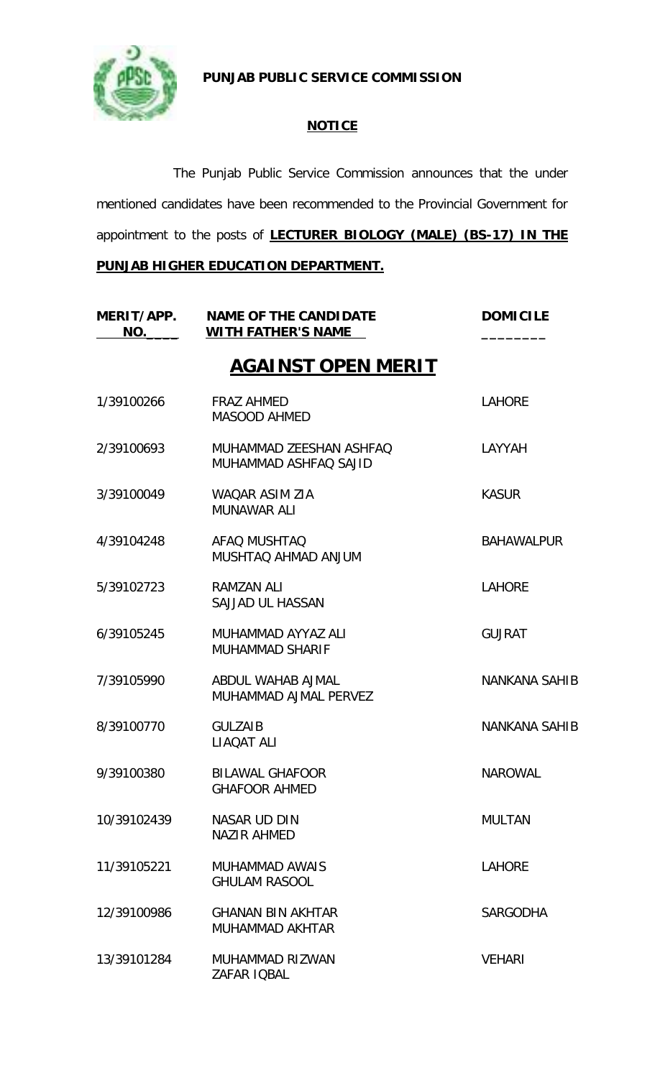

**PUNJAB PUBLIC SERVICE COMMISSION**

## **NOTICE**

The Punjab Public Service Commission announces that the under mentioned candidates have been recommended to the Provincial Government for appointment to the posts of **LECTURER BIOLOGY (MALE) (BS-17) IN THE** 

**PUNJAB HIGHER EDUCATION DEPARTMENT.**

| MERIT/APP.<br>NO. | <b>NAME OF THE CANDIDATE</b><br><b>WITH FATHER'S NAME</b> | <b>DOMICILE</b>      |
|-------------------|-----------------------------------------------------------|----------------------|
|                   | <b>AGAINST OPEN MERIT</b>                                 |                      |
| 1/39100266        | <b>FRAZ AHMED</b><br><b>MASOOD AHMED</b>                  | <b>LAHORE</b>        |
| 2/39100693        | MUHAMMAD ZEESHAN ASHFAQ<br>MUHAMMAD ASHFAQ SAJID          | LAYYAH               |
| 3/39100049        | WAQAR ASIM ZIA<br><b>MUNAWAR ALI</b>                      | <b>KASUR</b>         |
| 4/39104248        | AFAQ MUSHTAQ<br>MUSHTAQ AHMAD ANJUM                       | <b>BAHAWALPUR</b>    |
| 5/39102723        | RAMZAN ALI<br>SAJJAD UL HASSAN                            | <b>LAHORE</b>        |
| 6/39105245        | MUHAMMAD AYYAZ ALI<br><b>MUHAMMAD SHARIF</b>              | <b>GUJRAT</b>        |
| 7/39105990        | ABDUL WAHAB AJMAL<br>MUHAMMAD AJMAL PERVEZ                | <b>NANKANA SAHIB</b> |
| 8/39100770        | <b>GULZAIB</b><br><b>LIAOAT ALI</b>                       | <b>NANKANA SAHIB</b> |
| 9/39100380        | <b>BILAWAL GHAFOOR</b><br><b>GHAFOOR AHMED</b>            | <b>NAROWAL</b>       |
| 10/39102439       | <b>NASAR UD DIN</b><br><b>NAZIR AHMED</b>                 | <b>MULTAN</b>        |
| 11/39105221       | <b>MUHAMMAD AWAIS</b><br><b>GHULAM RASOOL</b>             | <b>LAHORE</b>        |
| 12/39100986       | <b>GHANAN BIN AKHTAR</b><br>MUHAMMAD AKHTAR               | <b>SARGODHA</b>      |
| 13/39101284       | MUHAMMAD RIZWAN<br>ZAFAR IQBAL                            | <b>VEHARI</b>        |